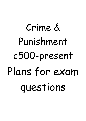# Crime & Punishment c500-present Plans for exam questions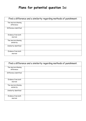## **Plans for potential question 1s:**

|                                    | Find a difference and a similarity regarding methods of punishment. |
|------------------------------------|---------------------------------------------------------------------|
| Two sources showing<br>difference: |                                                                     |
| Difference identified:             |                                                                     |
| Evidence from both<br>sources:     |                                                                     |
| Two sources showing<br>similarity: |                                                                     |
| Similarity identified:             |                                                                     |
| Evidence from both<br>sources:     |                                                                     |

| Find a difference and a similarity regarding methods of punishment. |  |
|---------------------------------------------------------------------|--|
| Two sources showing<br>difference:                                  |  |
| Difference identified:                                              |  |
| Evidence from both<br>sources:                                      |  |
| Two sources showing<br>similarity:                                  |  |
| Similarity identified:                                              |  |
| Evidence from both<br>sources:                                      |  |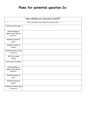## **Plans for potential question 2s:**

| How reliable are Sources D and E?                      |                                                      |
|--------------------------------------------------------|------------------------------------------------------|
|                                                        | Intro: both sources are reliable to a certain extent |
| Points source D makes:                                 |                                                      |
| Own knowledge to<br>support point made by<br>Source D: |                                                      |
| Reliability based on<br>year?                          |                                                      |
| Reliability based on<br>author?                        |                                                      |
| Reliability based on type<br>of source?                |                                                      |
| Why this caused<br>change:                             |                                                      |
| Points source E makes:                                 |                                                      |
| Own knowledge to<br>support point made by<br>Source E: |                                                      |
| Reliability based on<br>year?                          |                                                      |
| Reliability based on<br>author?                        |                                                      |
| Reliability based on type<br>of source?                |                                                      |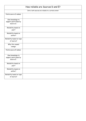| How reliable are Sources D and E?                      |                                                      |  |  |
|--------------------------------------------------------|------------------------------------------------------|--|--|
|                                                        | Intro: both sources are reliable to a certain extent |  |  |
| Points source D makes:                                 |                                                      |  |  |
| Own knowledge to<br>support point made by<br>Source D: |                                                      |  |  |
| Reliability based on<br>year?                          |                                                      |  |  |
| Reliability based on<br>author?                        |                                                      |  |  |
| Reliability based on type<br>of source?                |                                                      |  |  |
| Why this caused<br>change:                             |                                                      |  |  |
| Points source E makes:                                 |                                                      |  |  |
| Own knowledge to<br>support point made by<br>Source E: |                                                      |  |  |
| Reliability based on<br>year?                          |                                                      |  |  |
| Reliability based on<br>author?                        |                                                      |  |  |
| Reliability based on type<br>of source?                |                                                      |  |  |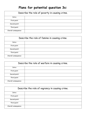## **Plans for potential question 3s:**

| Describe the role of poverty in causing crime. |  |
|------------------------------------------------|--|
| Intro:                                         |  |
| First point:                                   |  |
| Second point:                                  |  |
| Third point:                                   |  |
| Overall consequence:                           |  |

| Describe the role of famine in causing crime. |  |
|-----------------------------------------------|--|
| Intro:                                        |  |
| First point:                                  |  |
| Second point:                                 |  |
| Third point:                                  |  |
| Overall consequence:                          |  |

| Describe the role of warfare in causing crime. |  |
|------------------------------------------------|--|
| Intro:                                         |  |
| First point:                                   |  |
| Second point:                                  |  |
| Third point:                                   |  |
| Overall consequence:                           |  |

| Describe the role of vagrancy in causing crime. |  |
|-------------------------------------------------|--|
| Intro:                                          |  |
| First point:                                    |  |
| Second point:                                   |  |
| Third point:                                    |  |
| Overall consequence:                            |  |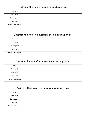| Describe the role of heresy in causing crime. |  |
|-----------------------------------------------|--|
| Intro:                                        |  |
| First point:                                  |  |
| Second point:                                 |  |
| Third point:                                  |  |
| Overall consequence:                          |  |

| Describe the role of industrialisation in causing crime. |  |
|----------------------------------------------------------|--|
| Intro:                                                   |  |
| First point:                                             |  |
| Second point:                                            |  |
| Third point:                                             |  |
| Overall consequence:                                     |  |

| Describe the role of urbanisation in causing crime. |  |
|-----------------------------------------------------|--|
| Intro:                                              |  |
| First point:                                        |  |
| Second point:                                       |  |
| Third point:                                        |  |
| Overall consequence:                                |  |

| Describe the role of technology in causing crime. |  |
|---------------------------------------------------|--|
| Intro:                                            |  |
| First point:                                      |  |
| Second point:                                     |  |
| Third point:                                      |  |
| Overall consequence:                              |  |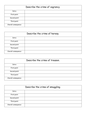| Describe the crime of vagrancy. |  |
|---------------------------------|--|
| Intro:                          |  |
| First point:                    |  |
| Second point:                   |  |
| Third point:                    |  |
| Overall consequence:            |  |

| Describe the crime of heresy. |  |
|-------------------------------|--|
| Intro:                        |  |
| First point:                  |  |
| Second point:                 |  |
| Third point:                  |  |
| Overall consequence:          |  |

| Describe the crime of treason. |  |
|--------------------------------|--|
| Intro:                         |  |
| First point:                   |  |
| Second point:                  |  |
| Third point:                   |  |
| Overall consequence:           |  |

| Describe the crime of smuggling. |  |
|----------------------------------|--|
| Intro:                           |  |
| First point:                     |  |
| Second point:                    |  |
| Third point:                     |  |
| Overall consequence:             |  |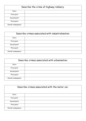| Describe the crime of highway robbery. |  |
|----------------------------------------|--|
| Intro:                                 |  |
| First point:                           |  |
| Second point:                          |  |
| Third point:                           |  |
| Overall consequence:                   |  |

| Describe crimes associated with industrialisation. |  |
|----------------------------------------------------|--|
| Intro:                                             |  |
| First point:                                       |  |
| Second point:                                      |  |
| Third point:                                       |  |
| Overall consequence:                               |  |

| Describe crimes associated with urbanisation. |  |
|-----------------------------------------------|--|
| Intro:                                        |  |
| First point:                                  |  |
| Second point:                                 |  |
| Third point:                                  |  |
| Overall consequence:                          |  |

| Describe crimes associated with the motor car. |  |
|------------------------------------------------|--|
| Intro:                                         |  |
| First point:                                   |  |
| Second point:                                  |  |
| Third point:                                   |  |
| Overall consequence:                           |  |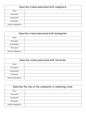| Describe crimes associated with computers. |  |
|--------------------------------------------|--|
| Intro:                                     |  |
| First point:                               |  |
| Second point:                              |  |
| Third point:                               |  |
| Overall consequence:                       |  |

| Describe crimes associated with hooliganism. |  |
|----------------------------------------------|--|
| Intro:                                       |  |
| First point:                                 |  |
| Second point:                                |  |
| Third point:                                 |  |
| Overall consequence:                         |  |

| Describe crimes associated with terrorism. |  |
|--------------------------------------------|--|
| Intro:                                     |  |
| First point:                               |  |
| Second point:                              |  |
| Third point:                               |  |
| Overall consequence:                       |  |

| Describe the role of the community in combating crime. |  |
|--------------------------------------------------------|--|
| Intro:                                                 |  |
| First point:                                           |  |
| Second point:                                          |  |
| Third point:                                           |  |
| Overall consequence:                                   |  |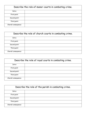| Describe the role of manor courts in combating crime. |  |
|-------------------------------------------------------|--|
| Intro:                                                |  |
| First point:                                          |  |
| Second point:                                         |  |
| Third point:                                          |  |
| Overall consequence:                                  |  |

| Describe the role of church courts in combating crime. |  |
|--------------------------------------------------------|--|
| Intro:                                                 |  |
| First point:                                           |  |
| Second point:                                          |  |
| Third point:                                           |  |
| Overall consequence:                                   |  |

| Describe the role of royal courts in combating crime. |  |
|-------------------------------------------------------|--|
| Intro:                                                |  |
| First point:                                          |  |
| Second point:                                         |  |
| Third point:                                          |  |
| Overall consequence:                                  |  |

| Describe the role of the parish in combating crime. |  |
|-----------------------------------------------------|--|
| Intro:                                              |  |
| First point:                                        |  |
| Second point:                                       |  |
| Third point:                                        |  |
| Overall consequence:                                |  |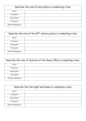| Describe the role of early police in combating crime. |  |
|-------------------------------------------------------|--|
| Intro:                                                |  |
| First point:                                          |  |
| Second point:                                         |  |
| Third point:                                          |  |
| Overall consequence:                                  |  |

| Describe the role of the 20 <sup>th</sup> century police in combating crime. |  |
|------------------------------------------------------------------------------|--|
| Intro:                                                                       |  |
| First point:                                                                 |  |
| Second point:                                                                |  |
| Third point:                                                                 |  |
| Overall consequence:                                                         |  |

| Describe the role of Justices of the Peace (JPs) in combating crime. |  |
|----------------------------------------------------------------------|--|
| Intro:                                                               |  |
| First point:                                                         |  |
| Second point:                                                        |  |
| Third point:                                                         |  |
| Overall consequence:                                                 |  |

| Describe the role night watchmen in combating crime. |  |
|------------------------------------------------------|--|
| Intro:                                               |  |
| First point:                                         |  |
| Second point:                                        |  |
| Third point:                                         |  |
| Overall consequence:                                 |  |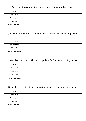| Describe the role of parish constables in combating crime. |  |
|------------------------------------------------------------|--|
| Intro:                                                     |  |
| First point:                                               |  |
| Second point:                                              |  |
| Third point:                                               |  |
| Overall consequence:                                       |  |

| Describe the role of the Bow Street Runners in combating crime. |  |
|-----------------------------------------------------------------|--|
| Intro:                                                          |  |
| First point:                                                    |  |
| Second point:                                                   |  |
| Third point:                                                    |  |
| Overall consequence:                                            |  |

| Describe the role of the Metropolitan Police in combating crime. |  |
|------------------------------------------------------------------|--|
| Intro:                                                           |  |
| First point:                                                     |  |
| Second point:                                                    |  |
| Third point:                                                     |  |
| Overall consequence:                                             |  |

| Describe the role of extending police forces in combating crime. |  |
|------------------------------------------------------------------|--|
| Intro:                                                           |  |
| First point:                                                     |  |
| Second point:                                                    |  |
| Third point:                                                     |  |
| Overall consequence:                                             |  |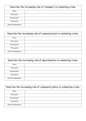| Describe the increasing role of transport in combating crime. |  |
|---------------------------------------------------------------|--|
| Intro:                                                        |  |
| First point:                                                  |  |
| Second point:                                                 |  |
| Third point:                                                  |  |
| Overall consequence:                                          |  |

| Describe the increasing role of communication in combating crime. |  |
|-------------------------------------------------------------------|--|
| Intro:                                                            |  |
| First point:                                                      |  |
| Second point:                                                     |  |
| Third point:                                                      |  |
| Overall consequence:                                              |  |

| Describe the increasing role of specialisation in combating crime. |  |
|--------------------------------------------------------------------|--|
| Intro:                                                             |  |
| First point:                                                       |  |
| Second point:                                                      |  |
| Third point:                                                       |  |
| Overall consequence:                                               |  |

| Describe the increasing role of community police in combating crime. |  |
|----------------------------------------------------------------------|--|
| Intro:                                                               |  |
| First point:                                                         |  |
| Second point:                                                        |  |
| Third point:                                                         |  |
| Overall consequence:                                                 |  |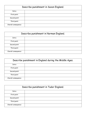| Describe punishment in Saxon England. |  |
|---------------------------------------|--|
| Intro:                                |  |
| First point:                          |  |
| Second point:                         |  |
| Third point:                          |  |
| Overall consequence:                  |  |

| Describe punishment in Norman England. |  |
|----------------------------------------|--|
| Intro:                                 |  |
| First point:                           |  |
| Second point:                          |  |
| Third point:                           |  |
| Overall consequence:                   |  |

| Describe punishment in England during the Middle Ages. |  |
|--------------------------------------------------------|--|
| Intro:                                                 |  |
| First point:                                           |  |
| Second point:                                          |  |
| Third point:                                           |  |
| Overall consequence:                                   |  |

| Describe punishment in Tudor England. |  |
|---------------------------------------|--|
| Intro:                                |  |
| First point:                          |  |
| Second point:                         |  |
| Third point:                          |  |
| Overall consequence:                  |  |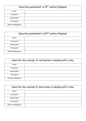| Describe punishment in 19 <sup>th</sup> century England. |  |
|----------------------------------------------------------|--|
| Intro:                                                   |  |
| First point:                                             |  |
| Second point:                                            |  |
| Third point:                                             |  |
| Overall consequence:                                     |  |

| Describe punishment in 20 <sup>th</sup> century England. |  |
|----------------------------------------------------------|--|
| Intro:                                                   |  |
| First point:                                             |  |
| Second point:                                            |  |
| Third point:                                             |  |
| Overall consequence:                                     |  |

| Describe the concept of retribution in dealing with crime. |  |
|------------------------------------------------------------|--|
| Intro:                                                     |  |
| First point:                                               |  |
| Second point:                                              |  |
| Third point:                                               |  |
| Overall consequence:                                       |  |

| Describe the concept of deterrence in dealing with crime. |  |
|-----------------------------------------------------------|--|
| Intro:                                                    |  |
| First point:                                              |  |
| Second point:                                             |  |
| Third point:                                              |  |
| Overall consequence:                                      |  |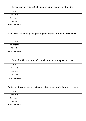| Describe the concept of humiliation in dealing with crime. |  |  |
|------------------------------------------------------------|--|--|
| Intro:                                                     |  |  |
| First point:                                               |  |  |
| Second point:                                              |  |  |
| Third point:                                               |  |  |
| Overall consequence:                                       |  |  |

| Describe the concept of public punishment in dealing with crime. |  |
|------------------------------------------------------------------|--|
| Intro:                                                           |  |
| First point:                                                     |  |
| Second point:                                                    |  |
| Third point:                                                     |  |
| Overall consequence:                                             |  |

| Describe the concept of banishment in dealing with crime. |  |  |
|-----------------------------------------------------------|--|--|
| Intro:                                                    |  |  |
| First point:                                              |  |  |
| Second point:                                             |  |  |
| Third point:                                              |  |  |
| Overall consequence:                                      |  |  |

| Describe the concept of using harsh prisons in dealing with crime. |  |  |
|--------------------------------------------------------------------|--|--|
| Intro:                                                             |  |  |
| First point:                                                       |  |  |
| Second point:                                                      |  |  |
| Third point:                                                       |  |  |
| Overall consequence:                                               |  |  |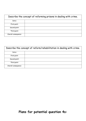| Describe the concept of reforming prisons in dealing with crime. |  |
|------------------------------------------------------------------|--|
| Intro:                                                           |  |
| First point:                                                     |  |
| Second point:                                                    |  |
| Third point:                                                     |  |
| Overall consequence:                                             |  |

| Describe the concept of reform/rehabilitation in dealing with crime. |  |  |
|----------------------------------------------------------------------|--|--|
| Intro:                                                               |  |  |
| First point:                                                         |  |  |
| Second point:                                                        |  |  |
| Third point:                                                         |  |  |
| Overall consequence:                                                 |  |  |

## **Plans for potential question 4s:**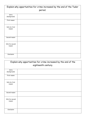| Explain why opportunities for crime increased by the end of the Tudor |         |
|-----------------------------------------------------------------------|---------|
|                                                                       | period. |
| Intro<br>(background):                                                |         |
| Frist reason:                                                         |         |
| Info for first<br>reason:                                             |         |
| Second reason:                                                        |         |
| Info for second<br>reason:                                            |         |
| Conclusion:                                                           |         |

| Explain why opportunities for crime increased by the end of the |                     |  |  |
|-----------------------------------------------------------------|---------------------|--|--|
|                                                                 | eighteenth century. |  |  |
| Intro                                                           |                     |  |  |
| (background):                                                   |                     |  |  |
| Frist reason:                                                   |                     |  |  |
| Info for first<br>reason:                                       |                     |  |  |
| Second reason:                                                  |                     |  |  |
| Info for second<br>reason:                                      |                     |  |  |
| Conclusion:                                                     |                     |  |  |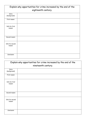| Explain why opportunities for crime increased by the end of the<br>eighteenth century. |  |  |
|----------------------------------------------------------------------------------------|--|--|
| Intro<br>(background):                                                                 |  |  |
| Frist reason:                                                                          |  |  |
| Info for first<br>reason:                                                              |  |  |
| Second reason:                                                                         |  |  |
| Info for second<br>reason:                                                             |  |  |
| Conclusion:                                                                            |  |  |

| Explain why opportunities for crime increased by the end of the |                     |
|-----------------------------------------------------------------|---------------------|
|                                                                 | nineteenth century. |
| Intro<br>(background):                                          |                     |
| Frist reason:                                                   |                     |
| Info for first<br>reason:                                       |                     |
| Second reason:                                                  |                     |
| Info for second<br>reason:                                      |                     |
| Conclusion:                                                     |                     |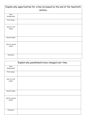| Explain why opportunities for crime increased by the end of the twentieth |          |
|---------------------------------------------------------------------------|----------|
|                                                                           | century. |
| Intro<br>(background):                                                    |          |
| Frist reason:                                                             |          |
| Info for first<br>reason:                                                 |          |
| Second reason:                                                            |          |
| Info for second<br>reason:                                                |          |
| Conclusion:                                                               |          |

| Explain why punishments have changed over time. |  |
|-------------------------------------------------|--|
| Intro<br>(background):                          |  |
| Frist reason:                                   |  |
| Info for first<br>reason:                       |  |
| Second reason:                                  |  |
| Info for second<br>reason:                      |  |
| Conclusion:                                     |  |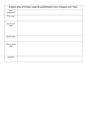| Explain why attitudes towards punishments have changed over time. |  |
|-------------------------------------------------------------------|--|
| Intro<br>(background):                                            |  |
| Frist reason:                                                     |  |
| Info for first<br>reason:                                         |  |
| Second reason:                                                    |  |
| Info for second<br>reason:                                        |  |
| Conclusion:                                                       |  |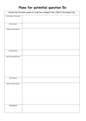## **Plans for potential question 5s:**

| Outline how the main causes of crime have changed from c.500 to the present day. |  |  |
|----------------------------------------------------------------------------------|--|--|
| Intro (name 3 factors):                                                          |  |  |
|                                                                                  |  |  |
|                                                                                  |  |  |
| First factor:                                                                    |  |  |
|                                                                                  |  |  |
| Info for first factor:                                                           |  |  |
|                                                                                  |  |  |
|                                                                                  |  |  |
|                                                                                  |  |  |
|                                                                                  |  |  |
|                                                                                  |  |  |
|                                                                                  |  |  |
|                                                                                  |  |  |
| Second factor:                                                                   |  |  |
|                                                                                  |  |  |
|                                                                                  |  |  |
| Info for second factor:                                                          |  |  |
|                                                                                  |  |  |
|                                                                                  |  |  |
|                                                                                  |  |  |
|                                                                                  |  |  |
|                                                                                  |  |  |
|                                                                                  |  |  |
|                                                                                  |  |  |
| Third factor:                                                                    |  |  |
|                                                                                  |  |  |
| Info for third factor:                                                           |  |  |
|                                                                                  |  |  |
|                                                                                  |  |  |
|                                                                                  |  |  |
|                                                                                  |  |  |
|                                                                                  |  |  |
|                                                                                  |  |  |
|                                                                                  |  |  |
| Conclusion:                                                                      |  |  |
|                                                                                  |  |  |
|                                                                                  |  |  |
|                                                                                  |  |  |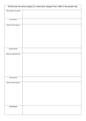| Outline how the nature (types) of crimes have changed from c.500 to the present day. |  |  |
|--------------------------------------------------------------------------------------|--|--|
| Intro (name 3 factors):                                                              |  |  |
|                                                                                      |  |  |
|                                                                                      |  |  |
| First factor:                                                                        |  |  |
|                                                                                      |  |  |
| Info for first factor:                                                               |  |  |
|                                                                                      |  |  |
|                                                                                      |  |  |
|                                                                                      |  |  |
|                                                                                      |  |  |
|                                                                                      |  |  |
|                                                                                      |  |  |
| Second factor:                                                                       |  |  |
|                                                                                      |  |  |
| Info for second factor:                                                              |  |  |
|                                                                                      |  |  |
|                                                                                      |  |  |
|                                                                                      |  |  |
|                                                                                      |  |  |
|                                                                                      |  |  |
|                                                                                      |  |  |
|                                                                                      |  |  |
| Third factor:                                                                        |  |  |
| Info for third factor:                                                               |  |  |
|                                                                                      |  |  |
|                                                                                      |  |  |
|                                                                                      |  |  |
|                                                                                      |  |  |
|                                                                                      |  |  |
|                                                                                      |  |  |
|                                                                                      |  |  |
| Conclusion:                                                                          |  |  |
|                                                                                      |  |  |
|                                                                                      |  |  |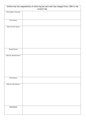| Outline how the responsibility of enforcing law and order has changed from c.500 to the<br>present day. |  |  |
|---------------------------------------------------------------------------------------------------------|--|--|
| Intro (name 3 factors):                                                                                 |  |  |
|                                                                                                         |  |  |
|                                                                                                         |  |  |
|                                                                                                         |  |  |
| First factor:                                                                                           |  |  |
|                                                                                                         |  |  |
|                                                                                                         |  |  |
| Info for first factor:                                                                                  |  |  |
|                                                                                                         |  |  |
|                                                                                                         |  |  |
|                                                                                                         |  |  |
|                                                                                                         |  |  |
|                                                                                                         |  |  |
|                                                                                                         |  |  |
|                                                                                                         |  |  |
|                                                                                                         |  |  |
| Second factor:                                                                                          |  |  |
|                                                                                                         |  |  |
|                                                                                                         |  |  |
| Info for second factor:                                                                                 |  |  |
|                                                                                                         |  |  |
|                                                                                                         |  |  |
|                                                                                                         |  |  |
|                                                                                                         |  |  |
|                                                                                                         |  |  |
|                                                                                                         |  |  |
|                                                                                                         |  |  |
|                                                                                                         |  |  |
| Third factor:                                                                                           |  |  |
|                                                                                                         |  |  |
|                                                                                                         |  |  |
| Info for third factor:                                                                                  |  |  |
|                                                                                                         |  |  |
|                                                                                                         |  |  |
|                                                                                                         |  |  |
|                                                                                                         |  |  |
|                                                                                                         |  |  |
|                                                                                                         |  |  |
|                                                                                                         |  |  |
|                                                                                                         |  |  |
| Conclusion:                                                                                             |  |  |
|                                                                                                         |  |  |
|                                                                                                         |  |  |
|                                                                                                         |  |  |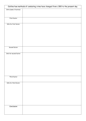| Outline how methods of combating crime have changed from c.500 to the present day. |  |  |
|------------------------------------------------------------------------------------|--|--|
| Intro (name 3 factors):                                                            |  |  |
|                                                                                    |  |  |
|                                                                                    |  |  |
| First factor:                                                                      |  |  |
|                                                                                    |  |  |
| Info for first factor:                                                             |  |  |
|                                                                                    |  |  |
|                                                                                    |  |  |
|                                                                                    |  |  |
|                                                                                    |  |  |
|                                                                                    |  |  |
|                                                                                    |  |  |
| Second factor:                                                                     |  |  |
|                                                                                    |  |  |
| Info for second factor:                                                            |  |  |
|                                                                                    |  |  |
|                                                                                    |  |  |
|                                                                                    |  |  |
|                                                                                    |  |  |
|                                                                                    |  |  |
|                                                                                    |  |  |
| Third factor:                                                                      |  |  |
|                                                                                    |  |  |
| Info for third factor:                                                             |  |  |
|                                                                                    |  |  |
|                                                                                    |  |  |
|                                                                                    |  |  |
|                                                                                    |  |  |
|                                                                                    |  |  |
|                                                                                    |  |  |
|                                                                                    |  |  |
| Conclusion:                                                                        |  |  |
|                                                                                    |  |  |
|                                                                                    |  |  |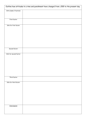| Outline how attitudes to crime and punishment have changed from c.500 to the present day. |  |  |
|-------------------------------------------------------------------------------------------|--|--|
| Intro (name 3 factors):                                                                   |  |  |
|                                                                                           |  |  |
| First factor:                                                                             |  |  |
|                                                                                           |  |  |
| Info for first factor:                                                                    |  |  |
|                                                                                           |  |  |
|                                                                                           |  |  |
|                                                                                           |  |  |
|                                                                                           |  |  |
|                                                                                           |  |  |
| Second factor:                                                                            |  |  |
| Info for second factor:                                                                   |  |  |
|                                                                                           |  |  |
|                                                                                           |  |  |
|                                                                                           |  |  |
|                                                                                           |  |  |
|                                                                                           |  |  |
| Third factor:                                                                             |  |  |
| Info for third factor:                                                                    |  |  |
|                                                                                           |  |  |
|                                                                                           |  |  |
|                                                                                           |  |  |
|                                                                                           |  |  |
|                                                                                           |  |  |
|                                                                                           |  |  |
| Conclusion:                                                                               |  |  |
|                                                                                           |  |  |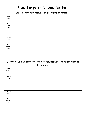#### **Plans for potential question 6as:**

|                               | Describe two main features of the terms of sentence. |
|-------------------------------|------------------------------------------------------|
| First<br>reason:              |                                                      |
| Info for<br>first<br>reason:  |                                                      |
| Second<br>reason:             |                                                      |
| Info for<br>second<br>reason: |                                                      |

| Describe two main features of the journey/arrival of the First Fleet to |             |
|-------------------------------------------------------------------------|-------------|
|                                                                         | Botany Bay. |
| First<br>reason:                                                        |             |
| Info for<br>first<br>reason:                                            |             |
| Second<br>reason:                                                       |             |
| Info for<br>second<br>reason:                                           |             |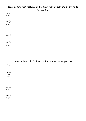|                               | Describe two main features of the treatment of convicts on arrival to |  |
|-------------------------------|-----------------------------------------------------------------------|--|
|                               | Botany Bay.                                                           |  |
| First<br>reason:              |                                                                       |  |
| Info for<br>first<br>reason:  |                                                                       |  |
| Second<br>reason:             |                                                                       |  |
| Info for<br>second<br>reason: |                                                                       |  |

|                               | Describe two main features of the categorisation process. |
|-------------------------------|-----------------------------------------------------------|
| First<br>reason:              |                                                           |
| Info for<br>first<br>reason:  |                                                           |
| Second<br>reason:             |                                                           |
| Info for<br>second<br>reason: |                                                           |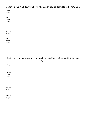| Describe two main features of living conditions of convicts in Botany Bay. |  |
|----------------------------------------------------------------------------|--|
| First                                                                      |  |
| reason:                                                                    |  |
| Info for                                                                   |  |
| first                                                                      |  |
| reason:                                                                    |  |
|                                                                            |  |
|                                                                            |  |
|                                                                            |  |
| Second                                                                     |  |
| reason:                                                                    |  |
|                                                                            |  |
| Info for<br>second                                                         |  |
| reason:                                                                    |  |
|                                                                            |  |
|                                                                            |  |
|                                                                            |  |

|                               | Describe two main features of working conditions of convicts in Botany<br>Bay. |  |
|-------------------------------|--------------------------------------------------------------------------------|--|
| First<br>reason:              |                                                                                |  |
| Info for<br>first<br>reason:  |                                                                                |  |
| Second<br>reason:             |                                                                                |  |
| Info for<br>second<br>reason: |                                                                                |  |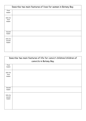|                               | Describe two main features of lives for women in Botany Bay. |
|-------------------------------|--------------------------------------------------------------|
| First<br>reason:              |                                                              |
| Info for<br>first<br>reason:  |                                                              |
| Second<br>reason:             |                                                              |
| Info for<br>second<br>reason: |                                                              |

| Describe two main features of life for convict children/children of<br>convicts in Botany Bay. |  |  |
|------------------------------------------------------------------------------------------------|--|--|
| First<br>reason:                                                                               |  |  |
| Info for<br>first<br>reason:                                                                   |  |  |
| Second<br>reason:                                                                              |  |  |
| Info for<br>second<br>reason:                                                                  |  |  |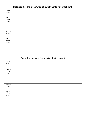|                               | Describe two main features of punishments for offenders. |
|-------------------------------|----------------------------------------------------------|
| First<br>reason:              |                                                          |
| Info for<br>first<br>reason:  |                                                          |
| Second<br>reason:             |                                                          |
| Info for<br>second<br>reason: |                                                          |

| Describe two main features of bushrangers. |  |
|--------------------------------------------|--|
| First                                      |  |
| reason:                                    |  |
| Info for                                   |  |
| first                                      |  |
| reason:                                    |  |
|                                            |  |
|                                            |  |
|                                            |  |
|                                            |  |
| Second                                     |  |
| reason:                                    |  |
|                                            |  |
| Info for                                   |  |
| second                                     |  |
| reason:                                    |  |
|                                            |  |
|                                            |  |
|                                            |  |
|                                            |  |
|                                            |  |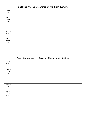| Describe two main features of the silent system. |  |
|--------------------------------------------------|--|
| First<br>reason:                                 |  |
| Info for<br>first<br>reason:                     |  |
| Second<br>reason:                                |  |
| Info for<br>second<br>reason:                    |  |

| Describe two main features of the separate system. |  |  |
|----------------------------------------------------|--|--|
| First<br>reason:                                   |  |  |
| Info for<br>first<br>reason:                       |  |  |
| Second<br>reason:                                  |  |  |
| Info for<br>second<br>reason:                      |  |  |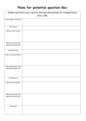#### **Plans for potential question 6bs:**

| Explain why there was a need to find new destinations for transportation |             |  |
|--------------------------------------------------------------------------|-------------|--|
|                                                                          | after 1780. |  |
| Intro (name 3 factors):                                                  |             |  |
| First factor:                                                            |             |  |
| Info for first factor:                                                   |             |  |
| Why first factor was<br>important/significant:                           |             |  |
| Second factor:                                                           |             |  |
| Info for second factor:                                                  |             |  |
| Why second factor was<br>important/significant:                          |             |  |
| Third factor:                                                            |             |  |
| Info for third factor:                                                   |             |  |
| Why third factor was<br>important/significant:                           |             |  |
| Conclusion:                                                              |             |  |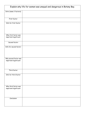| Explain why life for women was unequal and dangerous in Botany Bay. |  |  |
|---------------------------------------------------------------------|--|--|
| Intro (name 3 factors):                                             |  |  |
| First factor:                                                       |  |  |
| Info for first factor:                                              |  |  |
| Why first factor was<br>important/significant:                      |  |  |
| Second factor:                                                      |  |  |
| Info for second factor:                                             |  |  |
| Why second factor was<br>important/significant:                     |  |  |
| Third factor:                                                       |  |  |
| Info for third factor:                                              |  |  |
| Why third factor was<br>important/significant:                      |  |  |
| Conclusion:                                                         |  |  |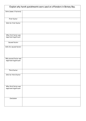| Explain why harsh punishments were used on offenders in Botany Bay. |  |  |
|---------------------------------------------------------------------|--|--|
| Intro (name 3 factors):                                             |  |  |
| First factor:                                                       |  |  |
| Info for first factor:                                              |  |  |
| Why first factor was<br>important/significant:                      |  |  |
| Second factor:                                                      |  |  |
| Info for second factor:                                             |  |  |
| Why second factor was<br>important/significant:                     |  |  |
| Third factor:                                                       |  |  |
| Info for third factor:                                              |  |  |
| Why third factor was<br>important/significant:                      |  |  |
| Conclusion:                                                         |  |  |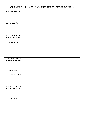| Explain why the penal colony was significant as a form of punishment. |  |  |
|-----------------------------------------------------------------------|--|--|
| Intro (name 3 factors):                                               |  |  |
| First factor:                                                         |  |  |
| Info for first factor:                                                |  |  |
| Why first factor was<br>important/significant:                        |  |  |
| Second factor:                                                        |  |  |
| Info for second factor:                                               |  |  |
| Why second factor was<br>important/significant:                       |  |  |
| Third factor:                                                         |  |  |
| Info for third factor:                                                |  |  |
| Why third factor was<br>important/significant:                        |  |  |
| Conclusion:                                                           |  |  |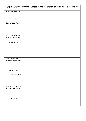| Explain why there were changes in the treatment of convicts in Botany Bay. |  |  |
|----------------------------------------------------------------------------|--|--|
| Intro (name 3 factors):                                                    |  |  |
| First factor:                                                              |  |  |
| Info for first factor:                                                     |  |  |
| Why first factor was<br>important/significant:                             |  |  |
| Second factor:                                                             |  |  |
| Info for second factor:                                                    |  |  |
| Why second factor was<br>important/significant:                            |  |  |
| Third factor:                                                              |  |  |
| Info for third factor:                                                     |  |  |
| Why third factor was<br>important/significant:                             |  |  |
| Conclusion:                                                                |  |  |